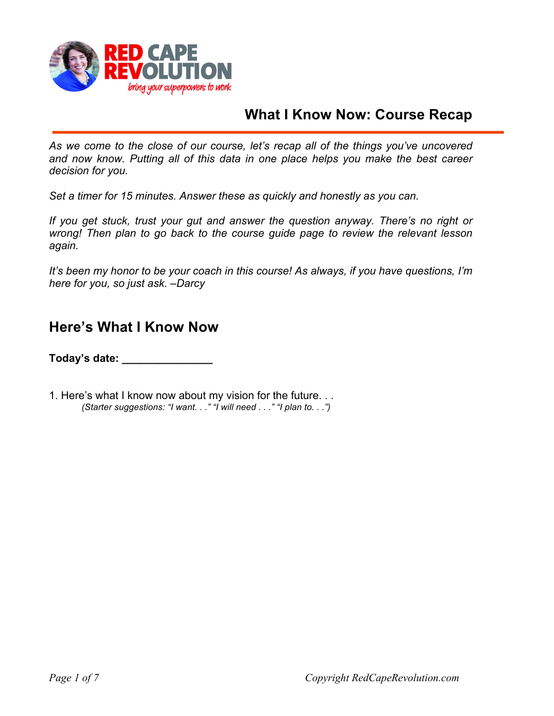

## **What I Know Now: Course Recap**

*As we come to the close of our course, let's recap all of the things you've uncovered and now know. Putting all of this data in one place helps you make the best career decision for you.* 

*Set a timer for 15 minutes. Answer these as quickly and honestly as you can.* 

*If you get stuck, trust your gut and answer the question anyway. There's no right or wrong! Then plan to go back to the course guide page to review the relevant lesson again.* 

*It's been my honor to be your coach in this course! As always, if you have questions, I'm here for you, so just ask. –Darcy*

## **Here's What I Know Now**

**Today's date: \_\_\_\_\_\_\_\_\_\_\_\_\_\_\_**

1. Here's what I know now about my vision for the future. . . *(Starter suggestions: "I want. . ." "I will need . . ." "I plan to. . .")*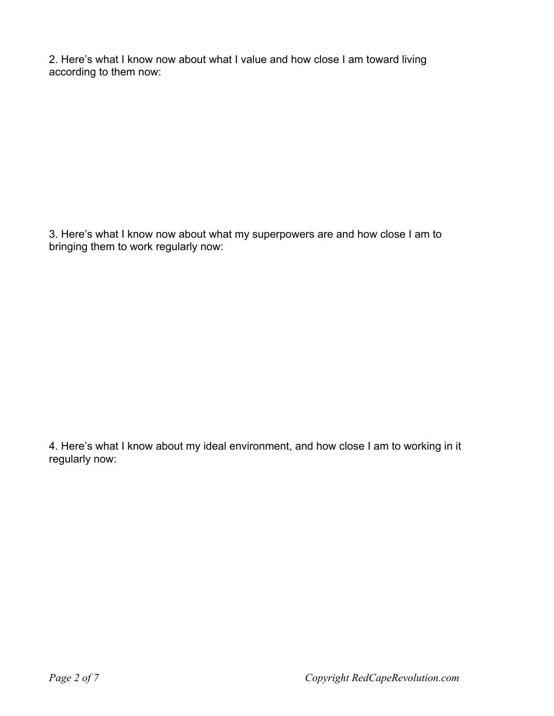2. Here's what I know now about what I value and how close I am toward living according to them now:

3. Here's what I know now about what my superpowers are and how close I am to bringing them to work regularly now:

4. Here's what I know about my ideal environment, and how close I am to working in it regularly now: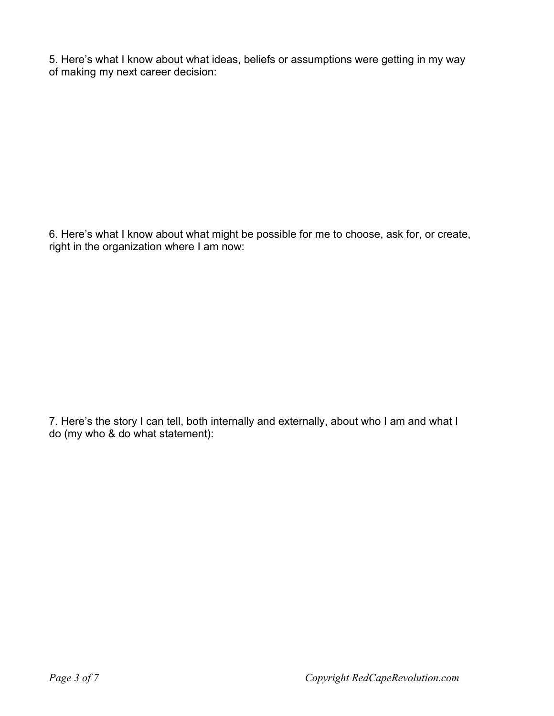5. Here's what I know about what ideas, beliefs or assumptions were getting in my way of making my next career decision:

6. Here's what I know about what might be possible for me to choose, ask for, or create, right in the organization where I am now:

7. Here's the story I can tell, both internally and externally, about who I am and what I do (my who & do what statement):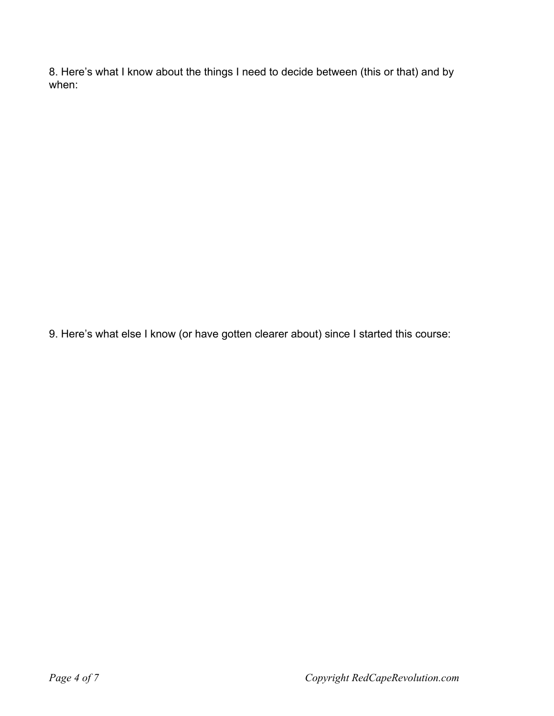8. Here's what I know about the things I need to decide between (this or that) and by when:

9. Here's what else I know (or have gotten clearer about) since I started this course: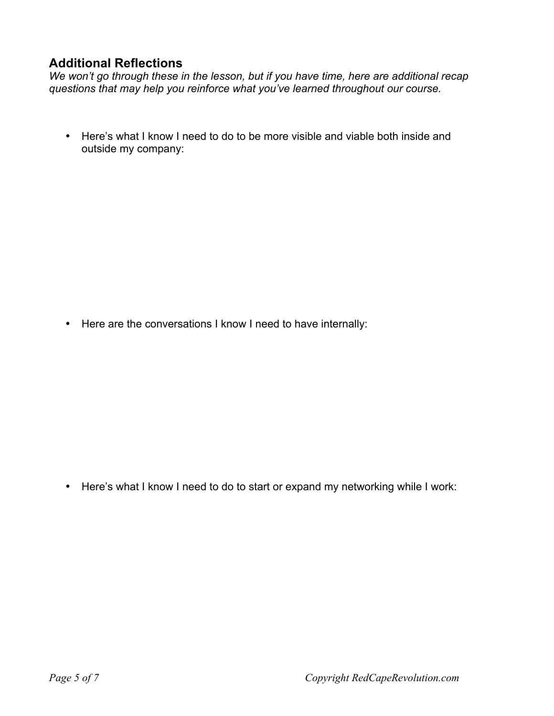## **Additional Reflections**

*We won't go through these in the lesson, but if you have time, here are additional recap questions that may help you reinforce what you've learned throughout our course.* 

• Here's what I know I need to do to be more visible and viable both inside and outside my company:

• Here are the conversations I know I need to have internally:

• Here's what I know I need to do to start or expand my networking while I work: